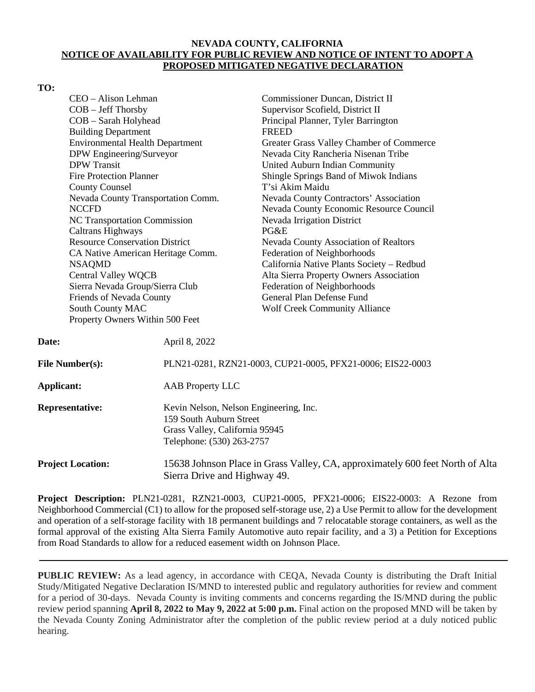## **NEVADA COUNTY, CALIFORNIA NOTICE OF AVAILABILITY FOR PUBLIC REVIEW AND NOTICE OF INTENT TO ADOPT A PROPOSED MITIGATED NEGATIVE DECLARATION**

## **TO:**

| CEO - Alison Lehman                          |                                                            | Commissioner Duncan, District II                                              |  |
|----------------------------------------------|------------------------------------------------------------|-------------------------------------------------------------------------------|--|
| COB - Jeff Thorsby                           |                                                            | Supervisor Scofield, District II                                              |  |
| COB - Sarah Holyhead                         |                                                            | Principal Planner, Tyler Barrington                                           |  |
| <b>Building Department</b>                   |                                                            | <b>FREED</b>                                                                  |  |
| <b>Environmental Health Department</b>       |                                                            | Greater Grass Valley Chamber of Commerce                                      |  |
| DPW Engineering/Surveyor                     |                                                            | Nevada City Rancheria Nisenan Tribe                                           |  |
| <b>DPW</b> Transit                           |                                                            | United Auburn Indian Community                                                |  |
| <b>Fire Protection Planner</b>               |                                                            | Shingle Springs Band of Miwok Indians                                         |  |
| <b>County Counsel</b>                        |                                                            | T'si Akim Maidu                                                               |  |
| Nevada County Transportation Comm.           |                                                            | Nevada County Contractors' Association                                        |  |
| <b>NCCFD</b>                                 |                                                            | Nevada County Economic Resource Council                                       |  |
| NC Transportation Commission                 |                                                            | Nevada Irrigation District                                                    |  |
| <b>Caltrans Highways</b>                     |                                                            | PG&E                                                                          |  |
| <b>Resource Conservation District</b>        |                                                            | Nevada County Association of Realtors                                         |  |
| CA Native American Heritage Comm.            |                                                            | Federation of Neighborhoods                                                   |  |
| <b>NSAQMD</b>                                |                                                            | California Native Plants Society - Redbud                                     |  |
| <b>Central Valley WQCB</b>                   |                                                            | Alta Sierra Property Owners Association                                       |  |
| Sierra Nevada Group/Sierra Club              |                                                            | Federation of Neighborhoods                                                   |  |
| Friends of Nevada County                     |                                                            | General Plan Defense Fund                                                     |  |
| South County MAC                             |                                                            | <b>Wolf Creek Community Alliance</b>                                          |  |
|                                              | Property Owners Within 500 Feet                            |                                                                               |  |
| Date:                                        | April 8, 2022                                              |                                                                               |  |
| <b>File Number(s):</b>                       | PLN21-0281, RZN21-0003, CUP21-0005, PFX21-0006; EIS22-0003 |                                                                               |  |
| <b>Applicant:</b><br><b>AAB Property LLC</b> |                                                            |                                                                               |  |
| <b>Representative:</b>                       | Kevin Nelson, Nelson Engineering, Inc.                     |                                                                               |  |
|                                              | 159 South Auburn Street                                    |                                                                               |  |
|                                              |                                                            | Grass Valley, California 95945                                                |  |
|                                              | Telephone: (530) 263-2757                                  |                                                                               |  |
| <b>Project Location:</b>                     |                                                            | 15638 Johnson Place in Grass Valley, CA, approximately 600 feet North of Alta |  |
|                                              | Sierra Drive and Highway 49.                               |                                                                               |  |
|                                              |                                                            |                                                                               |  |

**Project Description:** PLN21-0281, RZN21-0003, CUP21-0005, PFX21-0006; EIS22-0003: A Rezone from Neighborhood Commercial (C1) to allow for the proposed self-storage use, 2) a Use Permit to allow for the development and operation of a self-storage facility with 18 permanent buildings and 7 relocatable storage containers, as well as the formal approval of the existing Alta Sierra Family Automotive auto repair facility, and a 3) a Petition for Exceptions from Road Standards to allow for a reduced easement width on Johnson Place.

**PUBLIC REVIEW:** As a lead agency, in accordance with CEQA, Nevada County is distributing the Draft Initial Study/Mitigated Negative Declaration IS/MND to interested public and regulatory authorities for review and comment for a period of 30-days. Nevada County is inviting comments and concerns regarding the IS/MND during the public review period spanning **April 8, 2022 to May 9, 2022 at 5:00 p.m.** Final action on the proposed MND will be taken by the Nevada County Zoning Administrator after the completion of the public review period at a duly noticed public hearing.